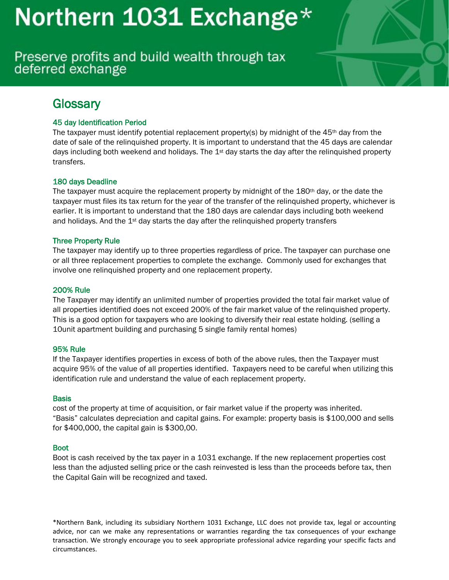Preserve profits and build wealth through tax deferred exchange

# **Glossary**

# 45 day Identification Period

The taxpayer must identify potential replacement property(s) by midnight of the  $45<sup>th</sup>$  day from the date of sale of the relinquished property. It is important to understand that the 45 days are calendar days including both weekend and holidays. The 1<sup>st</sup> day starts the day after the relinquished property transfers.

## 180 days Deadline

The taxpayer must acquire the replacement property by midnight of the 180<sup>th</sup> day, or the date the taxpayer must files its tax return for the year of the transfer of the relinquished property, whichever is earlier. It is important to understand that the 180 days are calendar days including both weekend and holidays. And the  $1st$  day starts the day after the relinquished property transfers

## Three Property Rule

The taxpayer may identify up to three properties regardless of price. The taxpayer can purchase one or all three replacement properties to complete the exchange. Commonly used for exchanges that involve one relinquished property and one replacement property.

### 200% Rule

The Taxpayer may identify an unlimited number of properties provided the total fair market value of all properties identified does not exceed 200% of the fair market value of the relinquished property. This is a good option for taxpayers who are looking to diversify their real estate holding. (selling a 10unit apartment building and purchasing 5 single family rental homes)

### 95% Rule

If the Taxpayer identifies properties in excess of both of the above rules, then the Taxpayer must acquire 95% of the value of all properties identified. Taxpayers need to be careful when utilizing this identification rule and understand the value of each replacement property.

### **Basis**

cost of the property at time of acquisition, or fair market value if the property was inherited. "Basis" calculates depreciation and capital gains. For example: property basis is \$100,000 and sells for \$400,000, the capital gain is \$300,00.

### Boot

Boot is cash received by the tax payer in a 1031 exchange. If the new replacement properties cost less than the adjusted selling price or the cash reinvested is less than the proceeds before tax, then the Capital Gain will be recognized and taxed.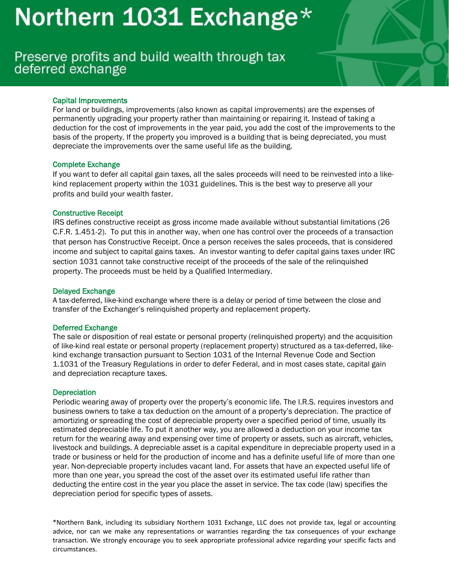# Preserve profits and build wealth through tax deferred exchange

## Capital Improvements

For land or buildings, improvements (also known as capital improvements) are the expenses of permanently upgrading your property rather than maintaining or repairing it. Instead of taking a deduction for the cost of improvements in the year paid, you add the cost of the improvements to the basis of the property. If the property you improved is a building that is being depreciated, you must depreciate the improvements over the same useful life as the building.

### Complete Exchange

If you want to defer all capital gain taxes, all the sales proceeds will need to be reinvested into a likekind replacement property within the 1031 guidelines. This is the best way to preserve all your profits and build your wealth faster.

### Constructive Receipt

IRS defines constructive receipt as gross income made available without substantial limitations (26 C.F.R. 1.451-2). To put this in another way, when one has control over the proceeds of a transaction that person has Constructive Receipt. Once a person receives the sales proceeds, that is considered income and subject to capital gains taxes. An investor wanting to defer capital gains taxes under [IRC](http://www.1031gateway.com/articles/laws/internal-revenue-code-section-1031/)  [section 1031](http://www.1031gateway.com/articles/laws/internal-revenue-code-section-1031/) cannot take constructive receipt of the proceeds of the sale of the relinquished property. The proceeds must be held by a [Qualified Intermediary.](http://www.1031gateway.com/articles/1031-exchange-rules/qualified-intermediary/)

### Delayed Exchange

A tax-deferred, like-kind exchange where there is a delay or period of time between the close and transfer of the Exchanger's relinquished property and replacement property.

### Deferred Exchange

The sale or disposition of real estate or personal property (relinquished property) and the acquisition of like-kind real estate or personal property (replacement property) structured as a tax-deferred, likekind exchange transaction pursuant to Section 1031 of the Internal Revenue Code and Section 1.1031 of the Treasury Regulations in order to defer Federal, and in most cases state, capital gain and depreciation recapture taxes.

### **Depreciation**

Periodic wearing away of property over the property's economic life. The I.R.S. requires investors and business owners to take a tax deduction on the amount of a property's depreciation. The practice of amortizing or spreading the cost of depreciable property over a specified period of time, usually its estimated depreciable life. To put it another way, you are allowed a deduction on your income tax return for the wearing away and expensing over time of property or assets, such as aircraft, vehicles, livestock and buildings. A depreciable asset is a capital expenditure in depreciable property used in a trade or business or held for the production of income and has a definite useful life of more than one year. Non-depreciable property includes vacant land. For assets that have an expected useful life of more than one year, you spread the cost of the asset over its estimated useful life rather than deducting the entire cost in the year you place the asset in service. The tax code (law) specifies the depreciation period for specific types of assets.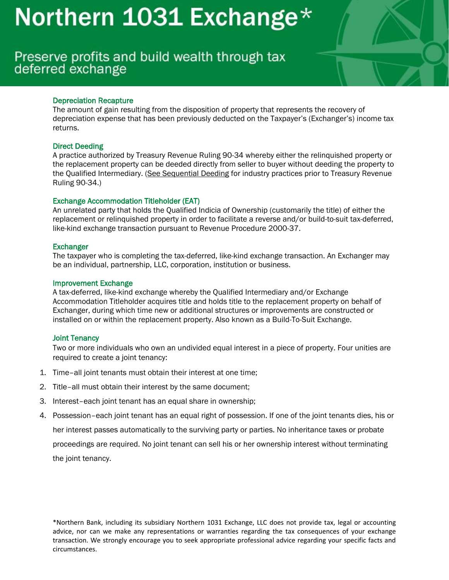# Preserve profits and build wealth through tax deferred exchange

## Depreciation Recapture

The amount of gain resulting from the disposition of property that represents the recovery of depreciation expense that has been previously deducted on the Taxpayer's (Exchanger's) income tax returns.

### Direct Deeding

A practice authorized by Treasury Revenue Ruling 90-34 whereby either the relinquished property or the replacement property can be deeded directly from seller to buyer without deeding the property to the Qualified Intermediary. (See [Sequential](https://www.1031exchange.com/glossary.php?section=D107) Deeding for industry practices prior to Treasury Revenue Ruling 90-34.)

## Exchange Accommodation Titleholder (EAT)

An unrelated party that holds the Qualified Indicia of Ownership (customarily the title) of either the replacement or relinquished property in order to facilitate a reverse and/or build-to-suit tax-deferred, like-kind exchange transaction pursuant to Revenue Procedure 2000-37.

### **Exchanger**

The taxpayer who is completing the tax-deferred, like-kind exchange transaction. An Exchanger may be an individual, partnership, LLC, corporation, institution or business.

### Improvement Exchange

A tax-deferred, like-kind exchange whereby the Qualified Intermediary and/or Exchange Accommodation Titleholder acquires title and holds title to the replacement property on behalf of Exchanger, during which time new or additional structures or improvements are constructed or installed on or within the replacement property. Also known as a Build-To-Suit Exchange.

## Joint Tenancy

Two or more individuals who own an undivided equal interest in a piece of property. Four unities are required to create a joint tenancy:

- 1. Time–all joint tenants must obtain their interest at one time;
- 2. Title–all must obtain their interest by the same document;
- 3. Interest–each joint tenant has an equal share in ownership;
- 4. Possession–each joint tenant has an equal right of possession. If one of the joint tenants dies, his or her interest passes automatically to the surviving party or parties. No inheritance taxes or probate proceedings are required. No joint tenant can sell his or her ownership interest without terminating the joint tenancy.